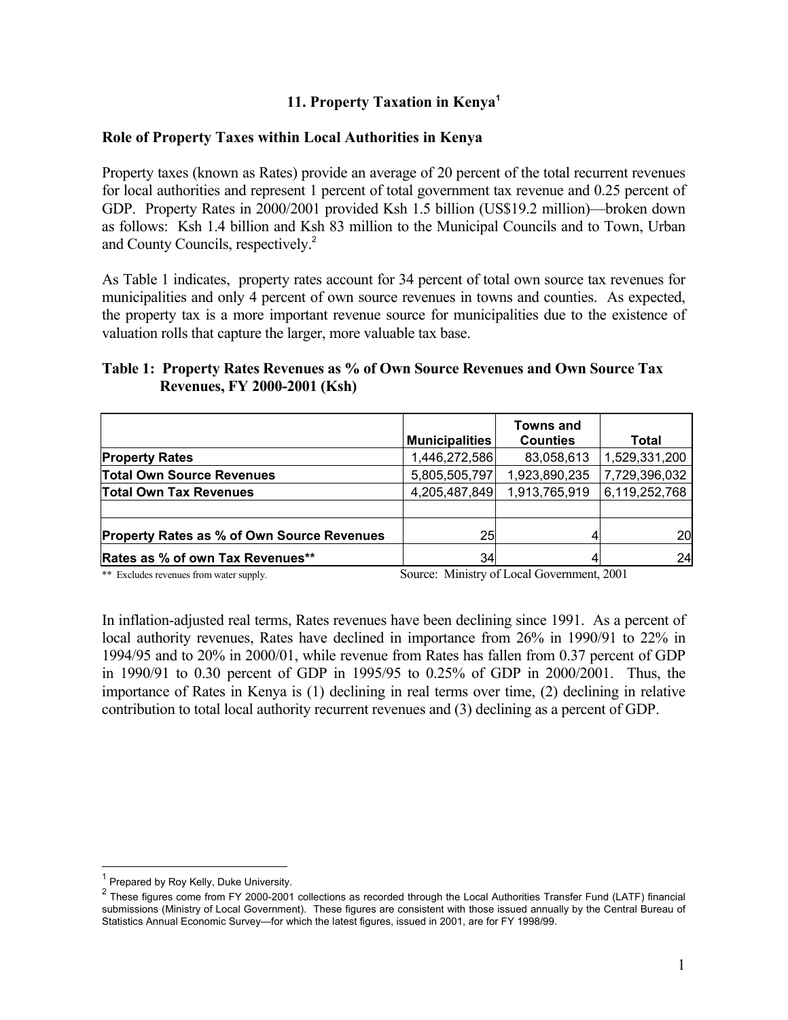# **11. Property Taxation in Kenya<sup>1</sup>**

#### **Role of Property Taxes within Local Authorities in Kenya**

Property taxes (known as Rates) provide an average of 20 percent of the total recurrent revenues for local authorities and represent 1 percent of total government tax revenue and 0.25 percent of GDP. Property Rates in 2000/2001 provided Ksh 1.5 billion (US\$19.2 million)—broken down as follows: Ksh 1.4 billion and Ksh 83 million to the Municipal Councils and to Town, Urban and County Councils, respectively.<sup>2</sup>

As Table 1 indicates, property rates account for 34 percent of total own source tax revenues for municipalities and only 4 percent of own source revenues in towns and counties. As expected, the property tax is a more important revenue source for municipalities due to the existence of valuation rolls that capture the larger, more valuable tax base.

### **Table 1: Property Rates Revenues as % of Own Source Revenues and Own Source Tax Revenues, FY 2000-2001 (Ksh)**

|                                                   | <b>Municipalities</b> | <b>Towns and</b><br><b>Counties</b> | Total         |
|---------------------------------------------------|-----------------------|-------------------------------------|---------------|
| <b>Property Rates</b>                             | 1,446,272,586         | 83,058,613                          | 1,529,331,200 |
| <b>Total Own Source Revenues</b>                  | 5,805,505,797         | 1,923,890,235                       | 7,729,396,032 |
| <b>Total Own Tax Revenues</b>                     | 4,205,487,849         | 1,913,765,919                       | 6,119,252,768 |
|                                                   |                       |                                     |               |
| <b>Property Rates as % of Own Source Revenues</b> | 25                    |                                     | 20            |
| Rates as % of own Tax Revenues**                  | 34                    |                                     | 24            |

\*\* Excludes revenues from water supply. Source: Ministry of Local Government, 2001

In inflation-adjusted real terms, Rates revenues have been declining since 1991. As a percent of local authority revenues, Rates have declined in importance from 26% in 1990/91 to 22% in 1994/95 and to 20% in 2000/01, while revenue from Rates has fallen from 0.37 percent of GDP in 1990/91 to 0.30 percent of GDP in 1995/95 to 0.25% of GDP in 2000/2001. Thus, the importance of Rates in Kenya is (1) declining in real terms over time, (2) declining in relative contribution to total local authority recurrent revenues and (3) declining as a percent of GDP.

 $\overline{a}$ 

<sup>1</sup> Prepared by Roy Kelly, Duke University.

 $2$  These figures come from FY 2000-2001 collections as recorded through the Local Authorities Transfer Fund (LATF) financial submissions (Ministry of Local Government). These figures are consistent with those issued annually by the Central Bureau of Statistics Annual Economic Survey—for which the latest figures, issued in 2001, are for FY 1998/99.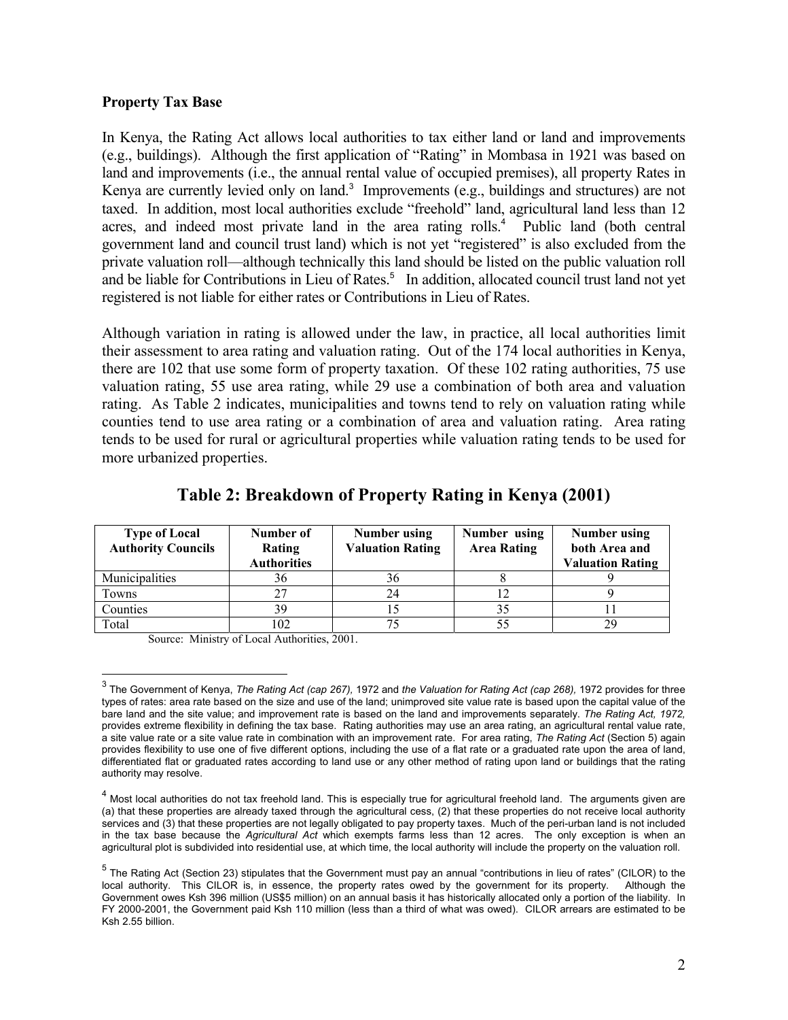#### **Property Tax Base**

In Kenya, the Rating Act allows local authorities to tax either land or land and improvements (e.g., buildings). Although the first application of "Rating" in Mombasa in 1921 was based on land and improvements (i.e., the annual rental value of occupied premises), all property Rates in Kenya are currently levied only on land.<sup>3</sup> Improvements (e.g., buildings and structures) are not taxed. In addition, most local authorities exclude "freehold" land, agricultural land less than 12 acres, and indeed most private land in the area rating rolls.<sup>4</sup> Public land (both central government land and council trust land) which is not yet "registered" is also excluded from the private valuation roll—although technically this land should be listed on the public valuation roll and be liable for Contributions in Lieu of Rates.<sup>5</sup> In addition, allocated council trust land not yet registered is not liable for either rates or Contributions in Lieu of Rates.

Although variation in rating is allowed under the law, in practice, all local authorities limit their assessment to area rating and valuation rating. Out of the 174 local authorities in Kenya, there are 102 that use some form of property taxation. Of these 102 rating authorities, 75 use valuation rating, 55 use area rating, while 29 use a combination of both area and valuation rating. As Table 2 indicates, municipalities and towns tend to rely on valuation rating while counties tend to use area rating or a combination of area and valuation rating. Area rating tends to be used for rural or agricultural properties while valuation rating tends to be used for more urbanized properties.

| <b>Type of Local</b><br><b>Authority Councils</b> | Number of<br>Rating<br><b>Authorities</b> | Number using<br><b>Valuation Rating</b> | Number using<br><b>Area Rating</b> | Number using<br>both Area and<br><b>Valuation Rating</b> |
|---------------------------------------------------|-------------------------------------------|-----------------------------------------|------------------------------------|----------------------------------------------------------|
| Municipalities                                    | 36                                        | 36                                      |                                    |                                                          |
| Towns                                             | 27                                        | 24                                      |                                    |                                                          |
| Counties                                          | 39                                        |                                         |                                    |                                                          |
| Total                                             | 102                                       |                                         |                                    |                                                          |

# **Table 2: Breakdown of Property Rating in Kenya (2001)**

Source: Ministry of Local Authorities, 2001.

 3 The Government of Kenya, *The Rating Act (cap 267),* 1972 and *the Valuation for Rating Act (cap 268),* 1972 provides for three types of rates: area rate based on the size and use of the land; unimproved site value rate is based upon the capital value of the bare land and the site value; and improvement rate is based on the land and improvements separately. *The Rating Act, 1972,*  provides extreme flexibility in defining the tax base. Rating authorities may use an area rating, an agricultural rental value rate, a site value rate or a site value rate in combination with an improvement rate. For area rating, *The Rating Act* (Section 5) again provides flexibility to use one of five different options, including the use of a flat rate or a graduated rate upon the area of land, differentiated flat or graduated rates according to land use or any other method of rating upon land or buildings that the rating authority may resolve.

<sup>&</sup>lt;sup>4</sup> Most local authorities do not tax freehold land. This is especially true for agricultural freehold land. The arguments given are (a) that these properties are already taxed through the agricultural cess, (2) that these properties do not receive local authority services and (3) that these properties are not legally obligated to pay property taxes. Much of the peri-urban land is not included in the tax base because the *Agricultural Act* which exempts farms less than 12 acres. The only exception is when an agricultural plot is subdivided into residential use, at which time, the local authority will include the property on the valuation roll.

<sup>&</sup>lt;sup>5</sup> The Rating Act (Section 23) stipulates that the Government must pay an annual "contributions in lieu of rates" (CILOR) to the local authority. This CILOR is, in essence, the property rates owed by the government for its property. Although the Government owes Ksh 396 million (US\$5 million) on an annual basis it has historically allocated only a portion of the liability. In FY 2000-2001, the Government paid Ksh 110 million (less than a third of what was owed). CILOR arrears are estimated to be Ksh 2.55 billion.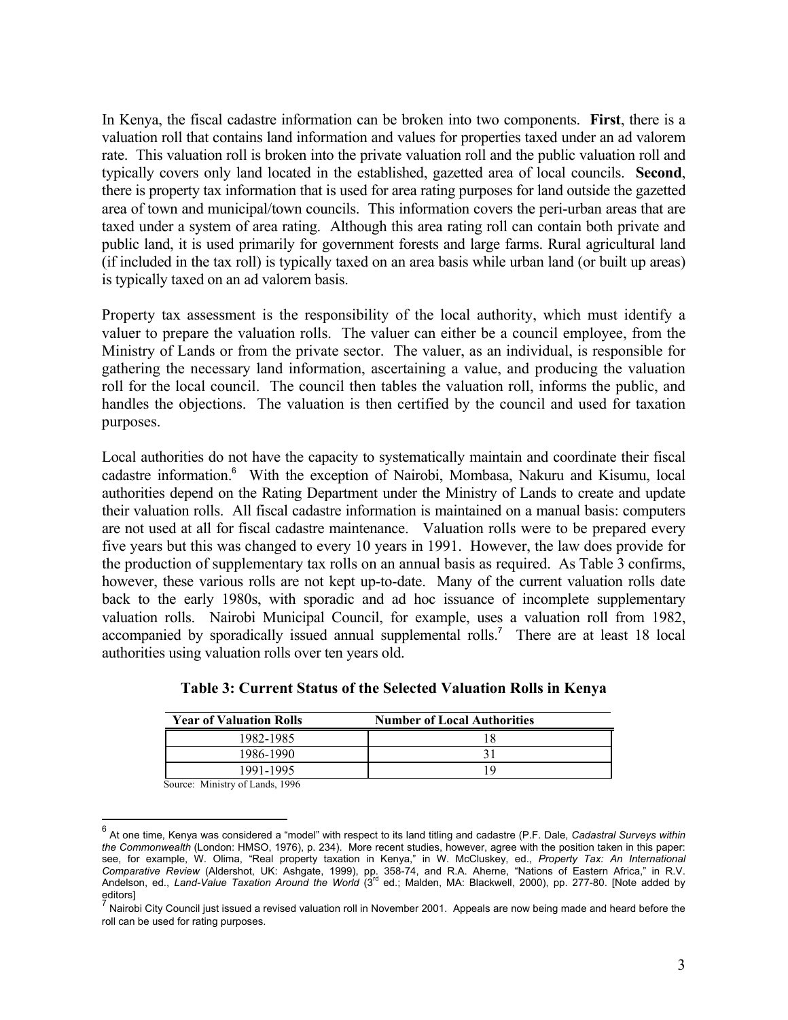In Kenya, the fiscal cadastre information can be broken into two components. **First**, there is a valuation roll that contains land information and values for properties taxed under an ad valorem rate. This valuation roll is broken into the private valuation roll and the public valuation roll and typically covers only land located in the established, gazetted area of local councils. **Second**, there is property tax information that is used for area rating purposes for land outside the gazetted area of town and municipal/town councils. This information covers the peri-urban areas that are taxed under a system of area rating. Although this area rating roll can contain both private and public land, it is used primarily for government forests and large farms. Rural agricultural land (if included in the tax roll) is typically taxed on an area basis while urban land (or built up areas) is typically taxed on an ad valorem basis.

Property tax assessment is the responsibility of the local authority, which must identify a valuer to prepare the valuation rolls. The valuer can either be a council employee, from the Ministry of Lands or from the private sector. The valuer, as an individual, is responsible for gathering the necessary land information, ascertaining a value, and producing the valuation roll for the local council. The council then tables the valuation roll, informs the public, and handles the objections. The valuation is then certified by the council and used for taxation purposes.

Local authorities do not have the capacity to systematically maintain and coordinate their fiscal cadastre information.<sup>6</sup> With the exception of Nairobi, Mombasa, Nakuru and Kisumu, local authorities depend on the Rating Department under the Ministry of Lands to create and update their valuation rolls. All fiscal cadastre information is maintained on a manual basis: computers are not used at all for fiscal cadastre maintenance. Valuation rolls were to be prepared every five years but this was changed to every 10 years in 1991. However, the law does provide for the production of supplementary tax rolls on an annual basis as required. As Table 3 confirms, however, these various rolls are not kept up-to-date. Many of the current valuation rolls date back to the early 1980s, with sporadic and ad hoc issuance of incomplete supplementary valuation rolls. Nairobi Municipal Council, for example, uses a valuation roll from 1982, accompanied by sporadically issued annual supplemental rolls.<sup>7</sup> There are at least 18 local authorities using valuation rolls over ten years old.

| <b>Year of Valuation Rolls</b> | <b>Number of Local Authorities</b> |
|--------------------------------|------------------------------------|
| 1982-1985                      |                                    |
| 1986-1990                      |                                    |
| 1991-1995                      | 1 G                                |

**Table 3: Current Status of the Selected Valuation Rolls in Kenya**

Source: Ministry of Lands, 1996

 $\overline{a}$ 

<sup>6</sup> At one time, Kenya was considered a "model" with respect to its land titling and cadastre (P.F. Dale, *Cadastral Surveys within the Commonwealth* (London: HMSO, 1976), p. 234). More recent studies, however, agree with the position taken in this paper: see, for example, W. Olima, "Real property taxation in Kenya," in W. McCluskey, ed., *Property Tax: An International Comparative Review* (Aldershot, UK: Ashgate, 1999), pp. 358-74, and R.A. Aherne, "Nations of Eastern Africa," in R.V.<br>Andelson, ed., *Land-Value Taxation Around the World* (3<sup>rd</sup> ed.; Malden, MA: Blackwell, 2000), pp. 277 editors]<br><sup>7</sup> Naisah

Nairobi City Council just issued a revised valuation roll in November 2001. Appeals are now being made and heard before the roll can be used for rating purposes.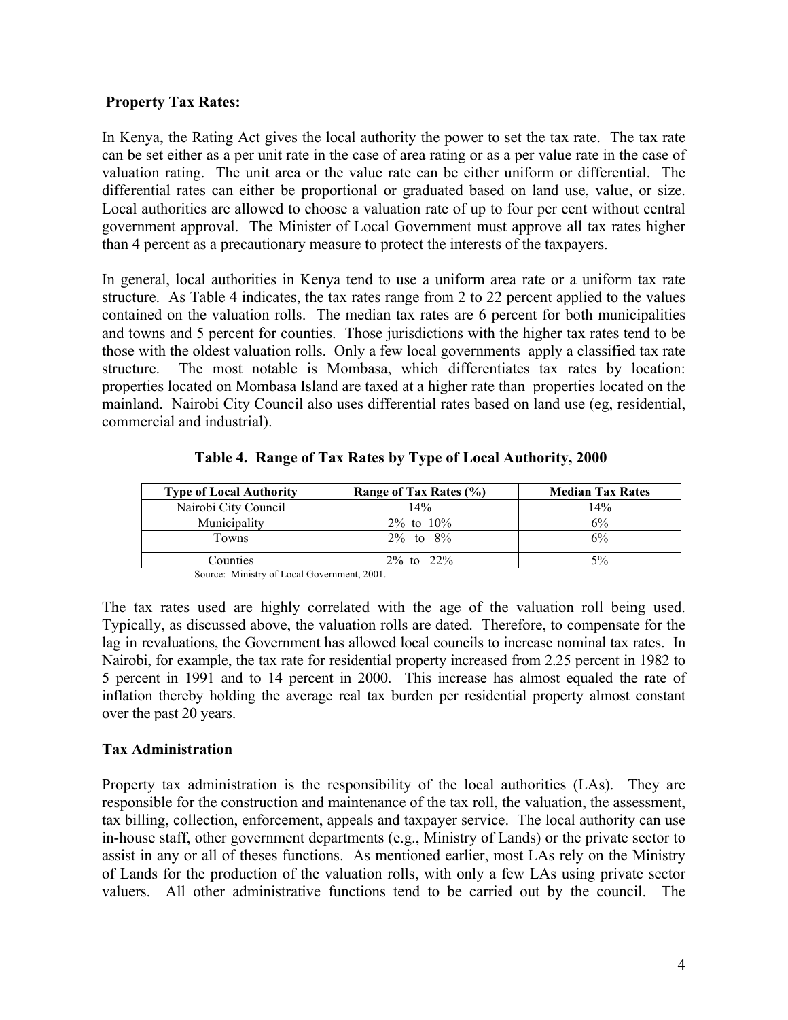### **Property Tax Rates:**

In Kenya, the Rating Act gives the local authority the power to set the tax rate. The tax rate can be set either as a per unit rate in the case of area rating or as a per value rate in the case of valuation rating. The unit area or the value rate can be either uniform or differential. The differential rates can either be proportional or graduated based on land use, value, or size. Local authorities are allowed to choose a valuation rate of up to four per cent without central government approval. The Minister of Local Government must approve all tax rates higher than 4 percent as a precautionary measure to protect the interests of the taxpayers.

In general, local authorities in Kenya tend to use a uniform area rate or a uniform tax rate structure. As Table 4 indicates, the tax rates range from 2 to 22 percent applied to the values contained on the valuation rolls. The median tax rates are 6 percent for both municipalities and towns and 5 percent for counties. Those jurisdictions with the higher tax rates tend to be those with the oldest valuation rolls. Only a few local governments apply a classified tax rate structure. The most notable is Mombasa, which differentiates tax rates by location: properties located on Mombasa Island are taxed at a higher rate than properties located on the mainland. Nairobi City Council also uses differential rates based on land use (eg, residential, commercial and industrial).

| <b>Type of Local Authority</b> | Range of Tax Rates (%) | <b>Median Tax Rates</b> |
|--------------------------------|------------------------|-------------------------|
| Nairobi City Council           | 14%                    | 14%                     |
| Municipality                   | $2\%$ to $10\%$        | 6%                      |
| Towns                          | $2\%$ to $8\%$         | 6%                      |
| Counties                       | $2\%$ to $22\%$        | 5%                      |

 **Table 4. Range of Tax Rates by Type of Local Authority, 2000**

Source: Ministry of Local Government, 2001.

The tax rates used are highly correlated with the age of the valuation roll being used. Typically, as discussed above, the valuation rolls are dated. Therefore, to compensate for the lag in revaluations, the Government has allowed local councils to increase nominal tax rates. In Nairobi, for example, the tax rate for residential property increased from 2.25 percent in 1982 to 5 percent in 1991 and to 14 percent in 2000. This increase has almost equaled the rate of inflation thereby holding the average real tax burden per residential property almost constant over the past 20 years.

#### **Tax Administration**

Property tax administration is the responsibility of the local authorities (LAs). They are responsible for the construction and maintenance of the tax roll, the valuation, the assessment, tax billing, collection, enforcement, appeals and taxpayer service. The local authority can use in-house staff, other government departments (e.g., Ministry of Lands) or the private sector to assist in any or all of theses functions. As mentioned earlier, most LAs rely on the Ministry of Lands for the production of the valuation rolls, with only a few LAs using private sector valuers. All other administrative functions tend to be carried out by the council. The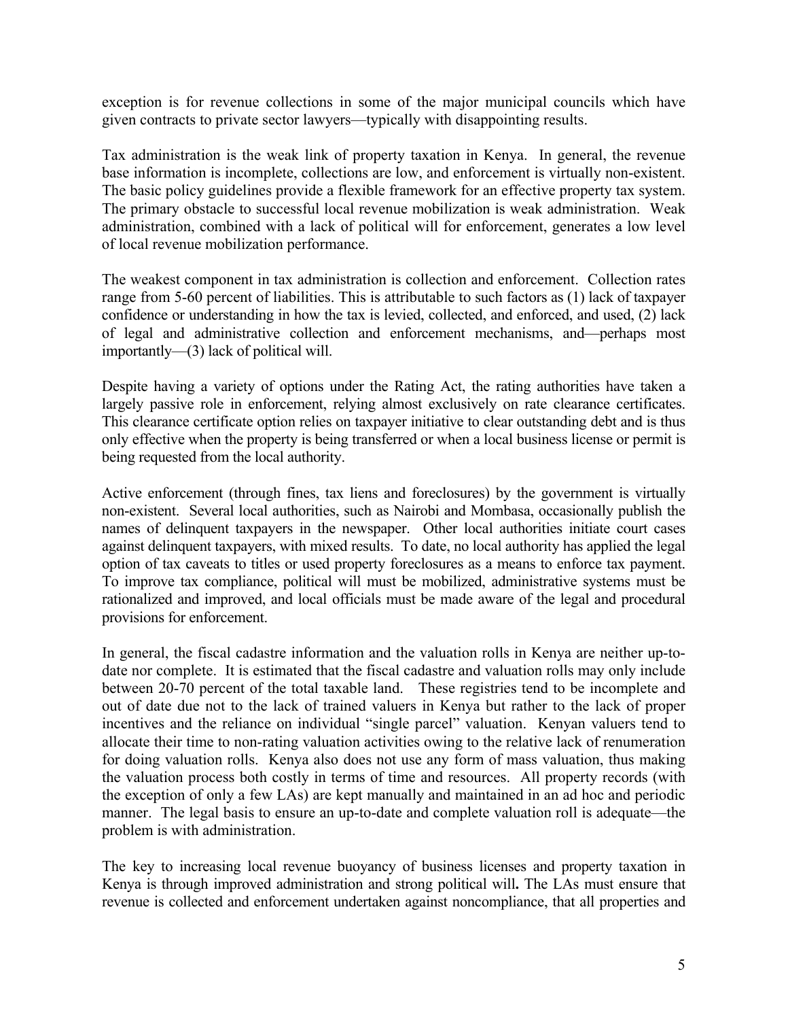exception is for revenue collections in some of the major municipal councils which have given contracts to private sector lawyers—typically with disappointing results.

Tax administration is the weak link of property taxation in Kenya. In general, the revenue base information is incomplete, collections are low, and enforcement is virtually non-existent. The basic policy guidelines provide a flexible framework for an effective property tax system. The primary obstacle to successful local revenue mobilization is weak administration. Weak administration, combined with a lack of political will for enforcement, generates a low level of local revenue mobilization performance.

The weakest component in tax administration is collection and enforcement. Collection rates range from 5-60 percent of liabilities. This is attributable to such factors as (1) lack of taxpayer confidence or understanding in how the tax is levied, collected, and enforced, and used, (2) lack of legal and administrative collection and enforcement mechanisms, and—perhaps most importantly—(3) lack of political will.

Despite having a variety of options under the Rating Act, the rating authorities have taken a largely passive role in enforcement, relying almost exclusively on rate clearance certificates. This clearance certificate option relies on taxpayer initiative to clear outstanding debt and is thus only effective when the property is being transferred or when a local business license or permit is being requested from the local authority.

Active enforcement (through fines, tax liens and foreclosures) by the government is virtually non-existent. Several local authorities, such as Nairobi and Mombasa, occasionally publish the names of delinquent taxpayers in the newspaper. Other local authorities initiate court cases against delinquent taxpayers, with mixed results. To date, no local authority has applied the legal option of tax caveats to titles or used property foreclosures as a means to enforce tax payment. To improve tax compliance, political will must be mobilized, administrative systems must be rationalized and improved, and local officials must be made aware of the legal and procedural provisions for enforcement.

In general, the fiscal cadastre information and the valuation rolls in Kenya are neither up-todate nor complete. It is estimated that the fiscal cadastre and valuation rolls may only include between 20-70 percent of the total taxable land. These registries tend to be incomplete and out of date due not to the lack of trained valuers in Kenya but rather to the lack of proper incentives and the reliance on individual "single parcel" valuation. Kenyan valuers tend to allocate their time to non-rating valuation activities owing to the relative lack of renumeration for doing valuation rolls. Kenya also does not use any form of mass valuation, thus making the valuation process both costly in terms of time and resources. All property records (with the exception of only a few LAs) are kept manually and maintained in an ad hoc and periodic manner. The legal basis to ensure an up-to-date and complete valuation roll is adequate—the problem is with administration.

The key to increasing local revenue buoyancy of business licenses and property taxation in Kenya is through improved administration and strong political will**.** The LAs must ensure that revenue is collected and enforcement undertaken against noncompliance, that all properties and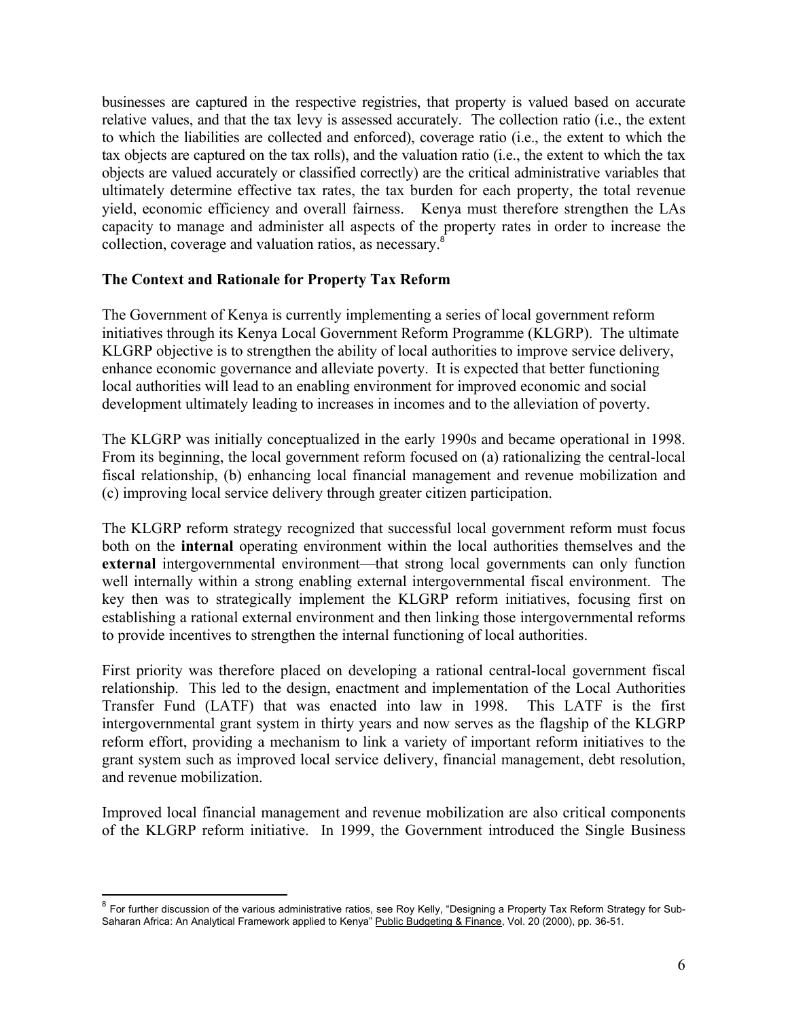businesses are captured in the respective registries, that property is valued based on accurate relative values, and that the tax levy is assessed accurately. The collection ratio (i.e., the extent to which the liabilities are collected and enforced), coverage ratio (i.e., the extent to which the tax objects are captured on the tax rolls), and the valuation ratio (i.e., the extent to which the tax objects are valued accurately or classified correctly) are the critical administrative variables that ultimately determine effective tax rates, the tax burden for each property, the total revenue yield, economic efficiency and overall fairness. Kenya must therefore strengthen the LAs capacity to manage and administer all aspects of the property rates in order to increase the collection, coverage and valuation ratios, as necessary.<sup>8</sup>

### **The Context and Rationale for Property Tax Reform**

The Government of Kenya is currently implementing a series of local government reform initiatives through its Kenya Local Government Reform Programme (KLGRP). The ultimate KLGRP objective is to strengthen the ability of local authorities to improve service delivery, enhance economic governance and alleviate poverty. It is expected that better functioning local authorities will lead to an enabling environment for improved economic and social development ultimately leading to increases in incomes and to the alleviation of poverty.

The KLGRP was initially conceptualized in the early 1990s and became operational in 1998. From its beginning, the local government reform focused on (a) rationalizing the central-local fiscal relationship, (b) enhancing local financial management and revenue mobilization and (c) improving local service delivery through greater citizen participation.

The KLGRP reform strategy recognized that successful local government reform must focus both on the **internal** operating environment within the local authorities themselves and the **external** intergovernmental environment—that strong local governments can only function well internally within a strong enabling external intergovernmental fiscal environment. The key then was to strategically implement the KLGRP reform initiatives, focusing first on establishing a rational external environment and then linking those intergovernmental reforms to provide incentives to strengthen the internal functioning of local authorities.

First priority was therefore placed on developing a rational central-local government fiscal relationship. This led to the design, enactment and implementation of the Local Authorities Transfer Fund (LATF) that was enacted into law in 1998. This LATF is the first intergovernmental grant system in thirty years and now serves as the flagship of the KLGRP reform effort, providing a mechanism to link a variety of important reform initiatives to the grant system such as improved local service delivery, financial management, debt resolution, and revenue mobilization.

Improved local financial management and revenue mobilization are also critical components of the KLGRP reform initiative. In 1999, the Government introduced the Single Business

 $\overline{a}$ 

 $^8$  For further discussion of the various administrative ratios, see Roy Kelly, "Designing a Property Tax Reform Strategy for Sub-Saharan Africa: An Analytical Framework applied to Kenya" Public Budgeting & Finance, Vol. 20 (2000), pp. 36-51.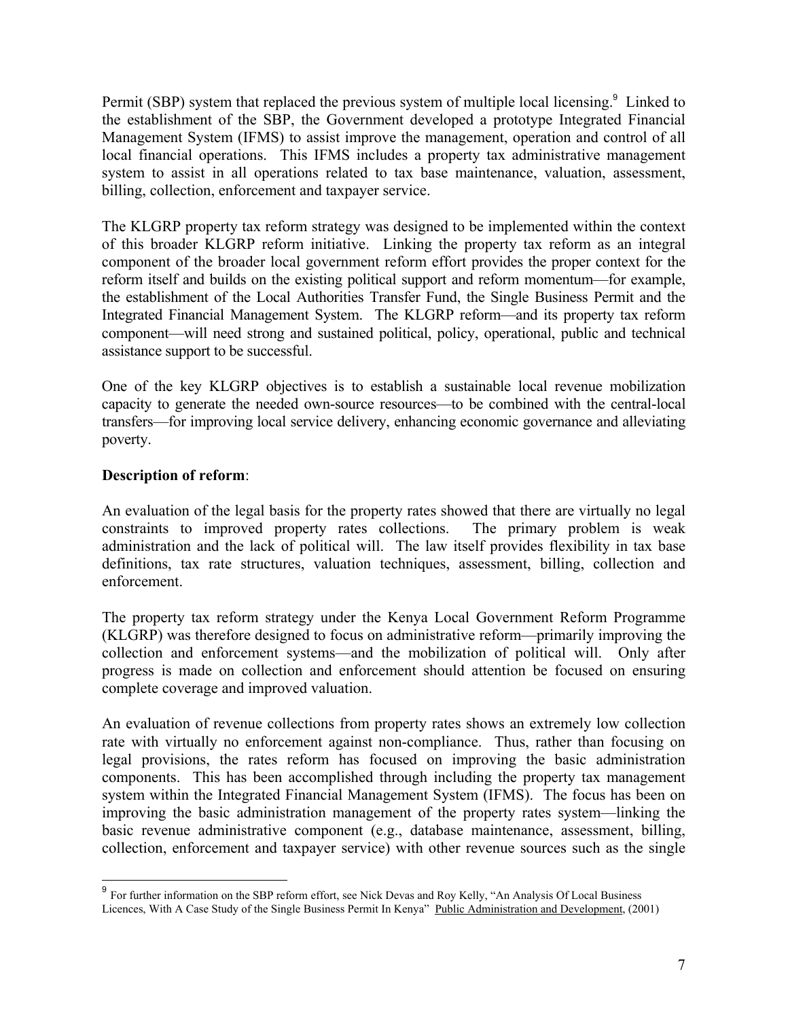Permit (SBP) system that replaced the previous system of multiple local licensing.<sup>9</sup> Linked to the establishment of the SBP, the Government developed a prototype Integrated Financial Management System (IFMS) to assist improve the management, operation and control of all local financial operations. This IFMS includes a property tax administrative management system to assist in all operations related to tax base maintenance, valuation, assessment, billing, collection, enforcement and taxpayer service.

The KLGRP property tax reform strategy was designed to be implemented within the context of this broader KLGRP reform initiative. Linking the property tax reform as an integral component of the broader local government reform effort provides the proper context for the reform itself and builds on the existing political support and reform momentum—for example, the establishment of the Local Authorities Transfer Fund, the Single Business Permit and the Integrated Financial Management System. The KLGRP reform—and its property tax reform component—will need strong and sustained political, policy, operational, public and technical assistance support to be successful.

One of the key KLGRP objectives is to establish a sustainable local revenue mobilization capacity to generate the needed own-source resources—to be combined with the central-local transfers—for improving local service delivery, enhancing economic governance and alleviating poverty.

## **Description of reform**:

 $\overline{a}$ 

An evaluation of the legal basis for the property rates showed that there are virtually no legal constraints to improved property rates collections. The primary problem is weak administration and the lack of political will. The law itself provides flexibility in tax base definitions, tax rate structures, valuation techniques, assessment, billing, collection and enforcement.

The property tax reform strategy under the Kenya Local Government Reform Programme (KLGRP) was therefore designed to focus on administrative reform—primarily improving the collection and enforcement systems—and the mobilization of political will. Only after progress is made on collection and enforcement should attention be focused on ensuring complete coverage and improved valuation.

An evaluation of revenue collections from property rates shows an extremely low collection rate with virtually no enforcement against non-compliance. Thus, rather than focusing on legal provisions, the rates reform has focused on improving the basic administration components. This has been accomplished through including the property tax management system within the Integrated Financial Management System (IFMS). The focus has been on improving the basic administration management of the property rates system—linking the basic revenue administrative component (e.g., database maintenance, assessment, billing, collection, enforcement and taxpayer service) with other revenue sources such as the single

 $9$  For further information on the SBP reform effort, see Nick Devas and Roy Kelly, "An Analysis Of Local Business Licences, With A Case Study of the Single Business Permit In Kenya" Public Administration and Development, (2001)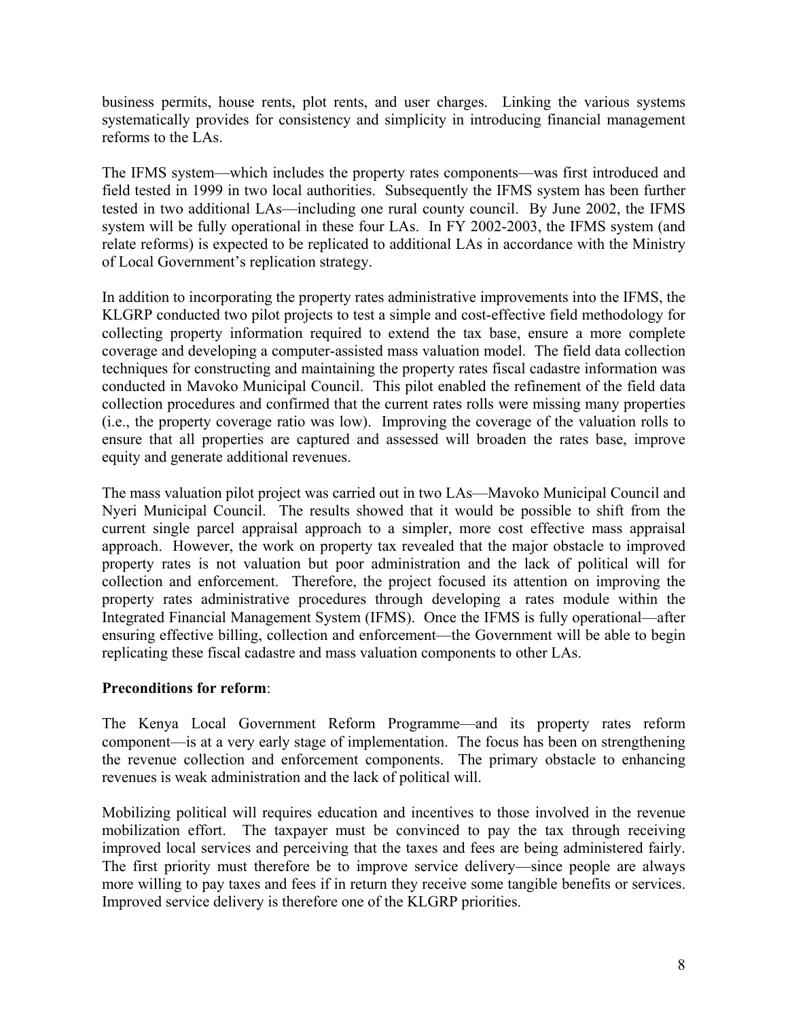business permits, house rents, plot rents, and user charges. Linking the various systems systematically provides for consistency and simplicity in introducing financial management reforms to the LAs.

The IFMS system—which includes the property rates components—was first introduced and field tested in 1999 in two local authorities. Subsequently the IFMS system has been further tested in two additional LAs—including one rural county council. By June 2002, the IFMS system will be fully operational in these four LAs. In FY 2002-2003, the IFMS system (and relate reforms) is expected to be replicated to additional LAs in accordance with the Ministry of Local Government's replication strategy.

In addition to incorporating the property rates administrative improvements into the IFMS, the KLGRP conducted two pilot projects to test a simple and cost-effective field methodology for collecting property information required to extend the tax base, ensure a more complete coverage and developing a computer-assisted mass valuation model. The field data collection techniques for constructing and maintaining the property rates fiscal cadastre information was conducted in Mavoko Municipal Council. This pilot enabled the refinement of the field data collection procedures and confirmed that the current rates rolls were missing many properties (i.e., the property coverage ratio was low). Improving the coverage of the valuation rolls to ensure that all properties are captured and assessed will broaden the rates base, improve equity and generate additional revenues.

The mass valuation pilot project was carried out in two LAs—Mavoko Municipal Council and Nyeri Municipal Council. The results showed that it would be possible to shift from the current single parcel appraisal approach to a simpler, more cost effective mass appraisal approach. However, the work on property tax revealed that the major obstacle to improved property rates is not valuation but poor administration and the lack of political will for collection and enforcement. Therefore, the project focused its attention on improving the property rates administrative procedures through developing a rates module within the Integrated Financial Management System (IFMS). Once the IFMS is fully operational—after ensuring effective billing, collection and enforcement—the Government will be able to begin replicating these fiscal cadastre and mass valuation components to other LAs.

## **Preconditions for reform**:

The Kenya Local Government Reform Programme—and its property rates reform component—is at a very early stage of implementation. The focus has been on strengthening the revenue collection and enforcement components. The primary obstacle to enhancing revenues is weak administration and the lack of political will.

Mobilizing political will requires education and incentives to those involved in the revenue mobilization effort. The taxpayer must be convinced to pay the tax through receiving improved local services and perceiving that the taxes and fees are being administered fairly. The first priority must therefore be to improve service delivery—since people are always more willing to pay taxes and fees if in return they receive some tangible benefits or services. Improved service delivery is therefore one of the KLGRP priorities.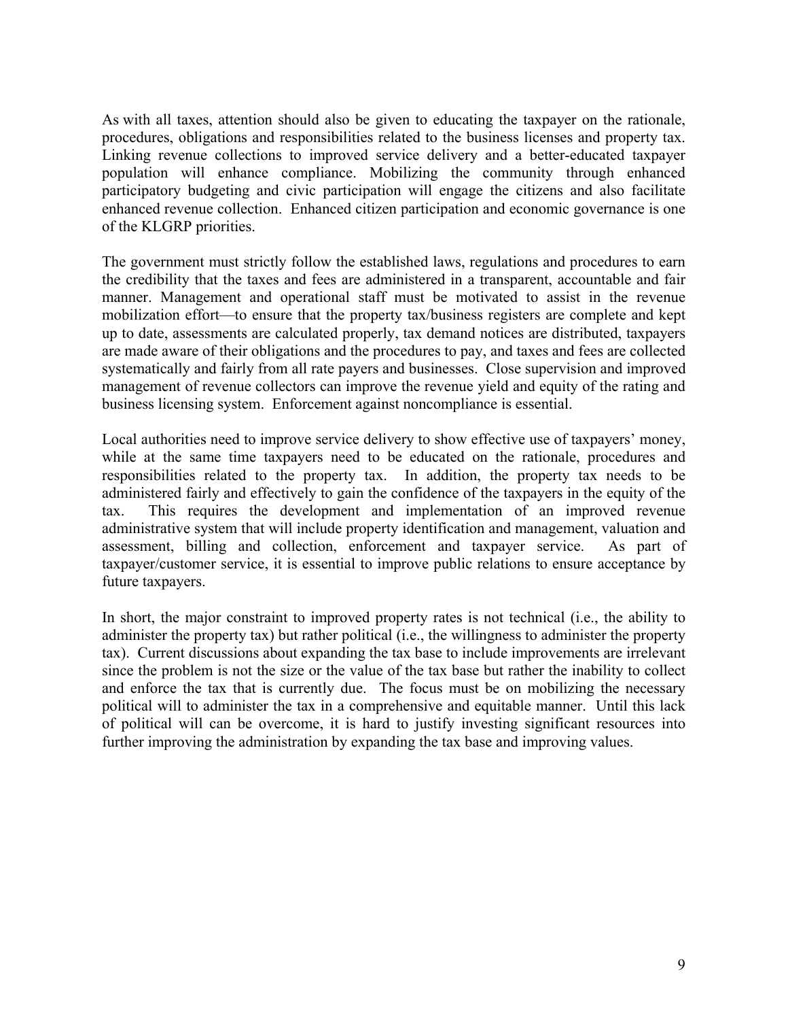As with all taxes, attention should also be given to educating the taxpayer on the rationale, procedures, obligations and responsibilities related to the business licenses and property tax. Linking revenue collections to improved service delivery and a better-educated taxpayer population will enhance compliance. Mobilizing the community through enhanced participatory budgeting and civic participation will engage the citizens and also facilitate enhanced revenue collection. Enhanced citizen participation and economic governance is one of the KLGRP priorities.

The government must strictly follow the established laws, regulations and procedures to earn the credibility that the taxes and fees are administered in a transparent, accountable and fair manner. Management and operational staff must be motivated to assist in the revenue mobilization effort—to ensure that the property tax/business registers are complete and kept up to date, assessments are calculated properly, tax demand notices are distributed, taxpayers are made aware of their obligations and the procedures to pay, and taxes and fees are collected systematically and fairly from all rate payers and businesses. Close supervision and improved management of revenue collectors can improve the revenue yield and equity of the rating and business licensing system. Enforcement against noncompliance is essential.

Local authorities need to improve service delivery to show effective use of taxpayers' money, while at the same time taxpayers need to be educated on the rationale, procedures and responsibilities related to the property tax. In addition, the property tax needs to be administered fairly and effectively to gain the confidence of the taxpayers in the equity of the tax. This requires the development and implementation of an improved revenue administrative system that will include property identification and management, valuation and assessment, billing and collection, enforcement and taxpayer service. As part of taxpayer/customer service, it is essential to improve public relations to ensure acceptance by future taxpayers.

In short, the major constraint to improved property rates is not technical (i.e., the ability to administer the property tax) but rather political (i.e., the willingness to administer the property tax). Current discussions about expanding the tax base to include improvements are irrelevant since the problem is not the size or the value of the tax base but rather the inability to collect and enforce the tax that is currently due. The focus must be on mobilizing the necessary political will to administer the tax in a comprehensive and equitable manner. Until this lack of political will can be overcome, it is hard to justify investing significant resources into further improving the administration by expanding the tax base and improving values.